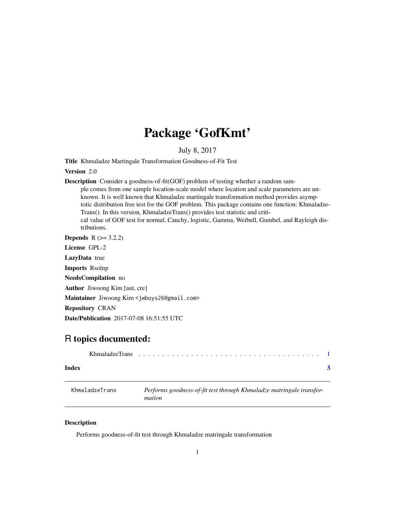## Package 'GofKmt'

July 8, 2017

<span id="page-0-0"></span>Title Khmaladze Martingale Transformation Goodness-of-Fit Test

Version 2.0

Description Consider a goodness-of-fit(GOF) problem of testing whether a random sample comes from one sample location-scale model where location and scale parameters are unknown. It is well known that Khmaladze martingale transformation method provides asymptotic distribution free test for the GOF problem. This package contains one function: Khmaladze-Trans(). In this version, KhmaladzeTrans() provides test statistic and critical value of GOF test for normal, Cauchy, logistic, Gamma, Weibull, Gumbel, and Rayleigh distributions.

**Depends**  $R$  ( $> = 3.2.2$ )

License GPL-2

LazyData true

Imports Rsolnp

NeedsCompilation no

Author Jiwoong Kim [aut, cre]

Maintainer Jiwoong Kim <jwboys26@gmail.com>

Repository CRAN

Date/Publication 2017-07-08 16:51:55 UTC

### R topics documented:

| Index |  |  |  |  |  |  |  |  |
|-------|--|--|--|--|--|--|--|--|

| KhmaladzeTrans | Performs goodness-of-fit test through Khmaladze matringale transfor- |
|----------------|----------------------------------------------------------------------|
|                | mation                                                               |

#### Description

Performs goodness-of-fit test through Khmaladze matringale transformation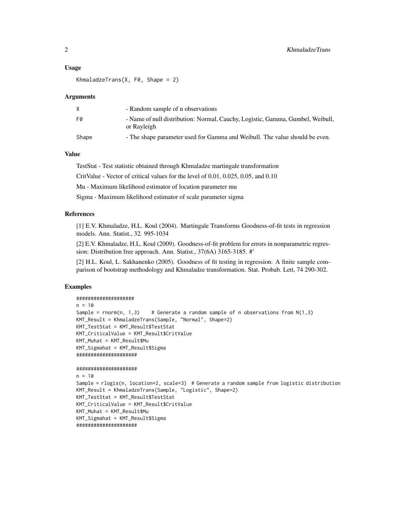#### Usage

```
KhmaladzeTrans(X, F0, Shape = 2)
```
#### Arguments

|       | - Random sample of n observations                                                             |
|-------|-----------------------------------------------------------------------------------------------|
| F۵    | - Name of null distribution: Normal, Cauchy, Logistic, Gamma, Gumbel, Weibull,<br>or Rayleigh |
| Shape | - The shape parameter used for Gamma and Weibull. The value should be even.                   |

#### Value

TestStat - Test statistic obtained through Khmaladze martingale transformation

CritValue - Vector of critical values for the level of 0.01, 0.025, 0.05, and 0.10

Mu - Maximum likelihood estimator of location parameter mu

Sigma - Maximum likelihood estimator of scale parameter sigma

#### References

[1] E.V. Khmaladze, H.L. Koul (2004). Martingale Transforms Goodness-of-fit tests in regression models. Ann. Statist., 32. 995-1034

[2] E.V. Khmaladze, H.L. Koul (2009). Goodness-of-fit problem for errors in nonparametric regression: Distribution free approach. Ann. Statist., 37(6A) 3165-3185. #'

[2] H.L. Koul, L. Sakhanenko (2005). Goodness of fit testing in regression: A finite sample comparison of bootstrap methodology and Khmaladze transformation. Stat. Probab. Lett, 74 290-302.

#### Examples

#### ####################

```
n = 10Sample = rnnorm(n, 1,3) # Generate a random sample of n observations from N(1,3)KMT_Result = KhmaladzeTrans(Sample, "Normal", Shape=2)
KMT_TestStat = KMT_Result$TestStat
KMT_CriticalValue = KMT_Result$CritValue
KMT_Muhat = KMT_Result$Mu
KMT_Sigmahat = KMT_Result$Sigma
#####################
```

```
#####################
```

```
n = 10Sample = rlogis(n, location=2, scale=3) # Generate a random sample from logistic distribution
KMT_Result = KhmaladzeTrans(Sample, "Logistic", Shape=2)
KMT_TestStat = KMT_Result$TestStat
KMT_CriticalValue = KMT_Result$CritValue
KMT_Muhat = KMT_Result$Mu
KMT_Sigmahat = KMT_Result$Sigma
#####################
```